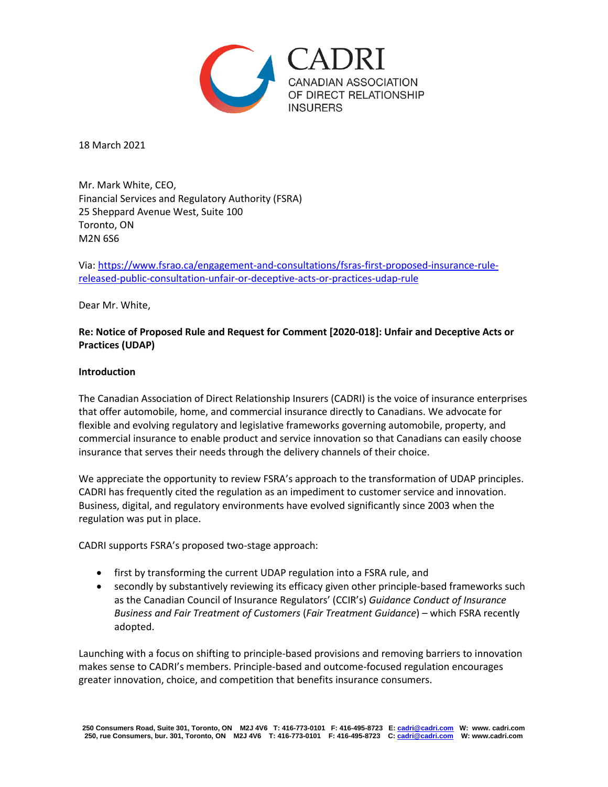

18 March 2021

Mr. Mark White, CEO, Financial Services and Regulatory Authority (FSRA) 25 Sheppard Avenue West, Suite 100 Toronto, ON M2N 6S6

Via[: https://www.fsrao.ca/engagement-and-consultations/fsras-first-proposed-insurance-rule](https://www.fsrao.ca/engagement-and-consultations/fsras-first-proposed-insurance-rule-released-public-consultation-unfair-or-deceptive-acts-or-practices-udap-rule)[released-public-consultation-unfair-or-deceptive-acts-or-practices-udap-rule](https://www.fsrao.ca/engagement-and-consultations/fsras-first-proposed-insurance-rule-released-public-consultation-unfair-or-deceptive-acts-or-practices-udap-rule)

Dear Mr. White,

# **Re: Notice of Proposed Rule and Request for Comment [2020-018]: Unfair and Deceptive Acts or Practices (UDAP)**

### **Introduction**

The Canadian Association of Direct Relationship Insurers (CADRI) is the voice of insurance enterprises that offer automobile, home, and commercial insurance directly to Canadians. We advocate for flexible and evolving regulatory and legislative frameworks governing automobile, property, and commercial insurance to enable product and service innovation so that Canadians can easily choose insurance that serves their needs through the delivery channels of their choice.

We appreciate the opportunity to review FSRA's approach to the transformation of UDAP principles. CADRI has frequently cited the regulation as an impediment to customer service and innovation. Business, digital, and regulatory environments have evolved significantly since 2003 when the regulation was put in place.

CADRI supports FSRA's proposed two-stage approach:

- first by transforming the current UDAP regulation into a FSRA rule, and
- secondly by substantively reviewing its efficacy given other principle-based frameworks such as the Canadian Council of Insurance Regulators' (CCIR's) *Guidance Conduct of Insurance Business and Fair Treatment of Customers* (*Fair Treatment Guidance*) – which FSRA recently adopted.

Launching with a focus on shifting to principle-based provisions and removing barriers to innovation makes sense to CADRI's members. Principle-based and outcome-focused regulation encourages greater innovation, choice, and competition that benefits insurance consumers.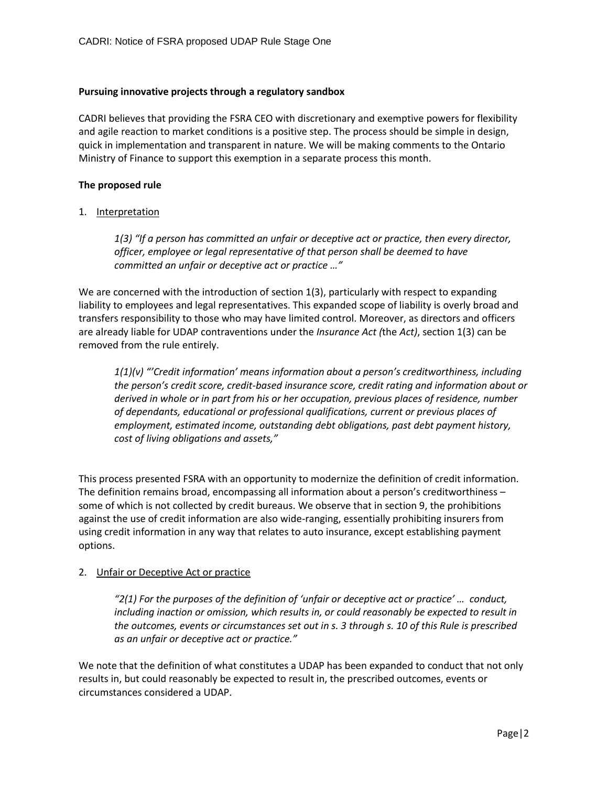### **Pursuing innovative projects through a regulatory sandbox**

CADRI believes that providing the FSRA CEO with discretionary and exemptive powers for flexibility and agile reaction to market conditions is a positive step. The process should be simple in design, quick in implementation and transparent in nature. We will be making comments to the Ontario Ministry of Finance to support this exemption in a separate process this month.

### **The proposed rule**

### 1. Interpretation

*1(3) "If a person has committed an unfair or deceptive act or practice, then every director, officer, employee or legal representative of that person shall be deemed to have committed an unfair or deceptive act or practice …"*

We are concerned with the introduction of section 1(3), particularly with respect to expanding liability to employees and legal representatives. This expanded scope of liability is overly broad and transfers responsibility to those who may have limited control. Moreover, as directors and officers are already liable for UDAP contraventions under the *Insurance Act (*the *Act)*, section 1(3) can be removed from the rule entirely.

*1(1)(v) "'Credit information' means information about a person's creditworthiness, including the person's credit score, credit-based insurance score, credit rating and information about or derived in whole or in part from his or her occupation, previous places of residence, number of dependants, educational or professional qualifications, current or previous places of employment, estimated income, outstanding debt obligations, past debt payment history, cost of living obligations and assets,"*

This process presented FSRA with an opportunity to modernize the definition of credit information. The definition remains broad, encompassing all information about a person's creditworthiness – some of which is not collected by credit bureaus. We observe that in section 9, the prohibitions against the use of credit information are also wide-ranging, essentially prohibiting insurers from using credit information in any way that relates to auto insurance, except establishing payment options.

## 2. Unfair or Deceptive Act or practice

*"2(1) For the purposes of the definition of 'unfair or deceptive act or practice' … conduct, including inaction or omission, which results in, or could reasonably be expected to result in the outcomes, events or circumstances set out in s. 3 through s. 10 of this Rule is prescribed as an unfair or deceptive act or practice."*

We note that the definition of what constitutes a UDAP has been expanded to conduct that not only results in, but could reasonably be expected to result in, the prescribed outcomes, events or circumstances considered a UDAP.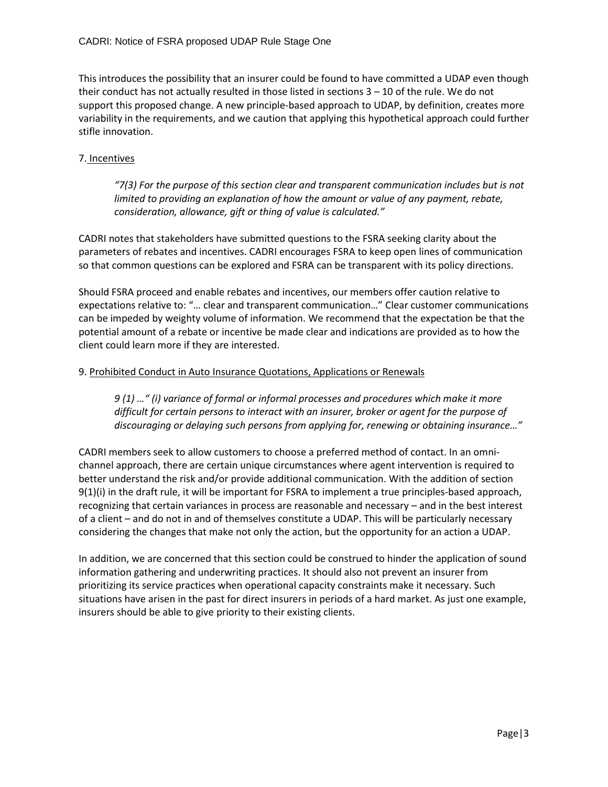This introduces the possibility that an insurer could be found to have committed a UDAP even though their conduct has not actually resulted in those listed in sections 3 – 10 of the rule. We do not support this proposed change. A new principle-based approach to UDAP, by definition, creates more variability in the requirements, and we caution that applying this hypothetical approach could further stifle innovation.

# 7. Incentives

*"7(3) For the purpose of this section clear and transparent communication includes but is not limited to providing an explanation of how the amount or value of any payment, rebate, consideration, allowance, gift or thing of value is calculated."*

CADRI notes that stakeholders have submitted questions to the FSRA seeking clarity about the parameters of rebates and incentives. CADRI encourages FSRA to keep open lines of communication so that common questions can be explored and FSRA can be transparent with its policy directions.

Should FSRA proceed and enable rebates and incentives, our members offer caution relative to expectations relative to: "… clear and transparent communication…" Clear customer communications can be impeded by weighty volume of information. We recommend that the expectation be that the potential amount of a rebate or incentive be made clear and indications are provided as to how the client could learn more if they are interested.

## 9. Prohibited Conduct in Auto Insurance Quotations, Applications or Renewals

*9 (1) …" (i) variance of formal or informal processes and procedures which make it more difficult for certain persons to interact with an insurer, broker or agent for the purpose of discouraging or delaying such persons from applying for, renewing or obtaining insurance…"*

CADRI members seek to allow customers to choose a preferred method of contact. In an omnichannel approach, there are certain unique circumstances where agent intervention is required to better understand the risk and/or provide additional communication. With the addition of section 9(1)(i) in the draft rule, it will be important for FSRA to implement a true principles-based approach, recognizing that certain variances in process are reasonable and necessary – and in the best interest of a client – and do not in and of themselves constitute a UDAP. This will be particularly necessary considering the changes that make not only the action, but the opportunity for an action a UDAP.

In addition, we are concerned that this section could be construed to hinder the application of sound information gathering and underwriting practices. It should also not prevent an insurer from prioritizing its service practices when operational capacity constraints make it necessary. Such situations have arisen in the past for direct insurers in periods of a hard market. As just one example, insurers should be able to give priority to their existing clients.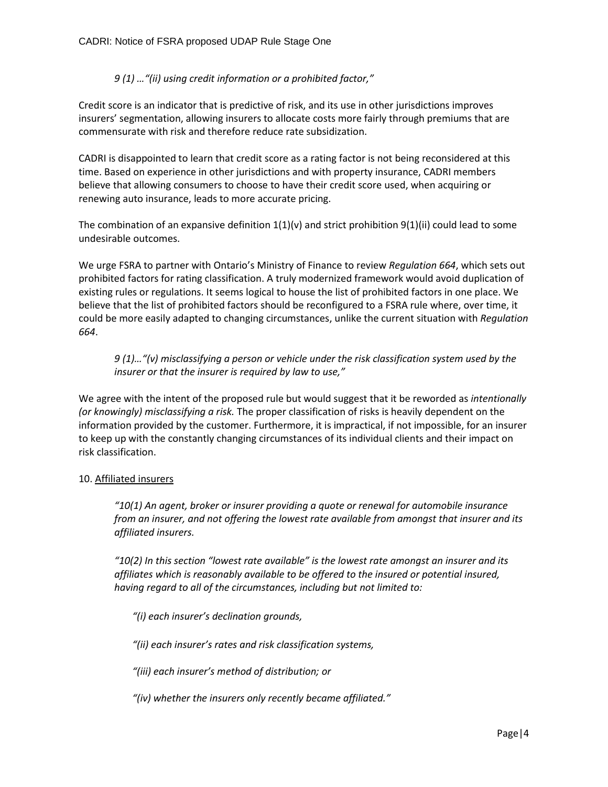# *9 (1) …"(ii) using credit information or a prohibited factor,"*

Credit score is an indicator that is predictive of risk, and its use in other jurisdictions improves insurers' segmentation, allowing insurers to allocate costs more fairly through premiums that are commensurate with risk and therefore reduce rate subsidization.

CADRI is disappointed to learn that credit score as a rating factor is not being reconsidered at this time. Based on experience in other jurisdictions and with property insurance, CADRI members believe that allowing consumers to choose to have their credit score used, when acquiring or renewing auto insurance, leads to more accurate pricing.

The combination of an expansive definition  $1(1)(v)$  and strict prohibition  $9(1)(ii)$  could lead to some undesirable outcomes.

We urge FSRA to partner with Ontario's Ministry of Finance to review *Regulation 664*, which sets out prohibited factors for rating classification. A truly modernized framework would avoid duplication of existing rules or regulations. It seems logical to house the list of prohibited factors in one place. We believe that the list of prohibited factors should be reconfigured to a FSRA rule where, over time, it could be more easily adapted to changing circumstances, unlike the current situation with *Regulation 664*.

*9 (1)…"(v) misclassifying a person or vehicle under the risk classification system used by the insurer or that the insurer is required by law to use,"*

We agree with the intent of the proposed rule but would suggest that it be reworded as *intentionally (or knowingly) misclassifying a risk.* The proper classification of risks is heavily dependent on the information provided by the customer. Furthermore, it is impractical, if not impossible, for an insurer to keep up with the constantly changing circumstances of its individual clients and their impact on risk classification.

## 10. Affiliated insurers

*"10(1) An agent, broker or insurer providing a quote or renewal for automobile insurance from an insurer, and not offering the lowest rate available from amongst that insurer and its affiliated insurers.* 

*"10(2) In this section "lowest rate available" is the lowest rate amongst an insurer and its affiliates which is reasonably available to be offered to the insured or potential insured, having regard to all of the circumstances, including but not limited to:* 

*"(i) each insurer's declination grounds,* 

*"(ii) each insurer's rates and risk classification systems,* 

*"(iii) each insurer's method of distribution; or* 

*"(iv) whether the insurers only recently became affiliated."*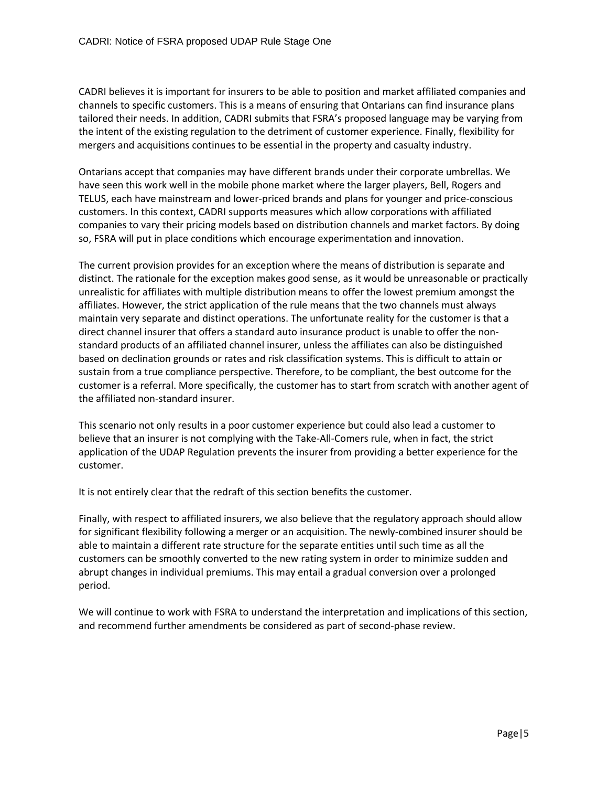CADRI believes it is important for insurers to be able to position and market affiliated companies and channels to specific customers. This is a means of ensuring that Ontarians can find insurance plans tailored their needs. In addition, CADRI submits that FSRA's proposed language may be varying from the intent of the existing regulation to the detriment of customer experience. Finally, flexibility for mergers and acquisitions continues to be essential in the property and casualty industry.

Ontarians accept that companies may have different brands under their corporate umbrellas. We have seen this work well in the mobile phone market where the larger players, Bell, Rogers and TELUS, each have mainstream and lower-priced brands and plans for younger and price-conscious customers. In this context, CADRI supports measures which allow corporations with affiliated companies to vary their pricing models based on distribution channels and market factors. By doing so, FSRA will put in place conditions which encourage experimentation and innovation.

The current provision provides for an exception where the means of distribution is separate and distinct. The rationale for the exception makes good sense, as it would be unreasonable or practically unrealistic for affiliates with multiple distribution means to offer the lowest premium amongst the affiliates. However, the strict application of the rule means that the two channels must always maintain very separate and distinct operations. The unfortunate reality for the customer is that a direct channel insurer that offers a standard auto insurance product is unable to offer the nonstandard products of an affiliated channel insurer, unless the affiliates can also be distinguished based on declination grounds or rates and risk classification systems. This is difficult to attain or sustain from a true compliance perspective. Therefore, to be compliant, the best outcome for the customer is a referral. More specifically, the customer has to start from scratch with another agent of the affiliated non-standard insurer.

This scenario not only results in a poor customer experience but could also lead a customer to believe that an insurer is not complying with the Take-All-Comers rule, when in fact, the strict application of the UDAP Regulation prevents the insurer from providing a better experience for the customer.

It is not entirely clear that the redraft of this section benefits the customer.

Finally, with respect to affiliated insurers, we also believe that the regulatory approach should allow for significant flexibility following a merger or an acquisition. The newly-combined insurer should be able to maintain a different rate structure for the separate entities until such time as all the customers can be smoothly converted to the new rating system in order to minimize sudden and abrupt changes in individual premiums. This may entail a gradual conversion over a prolonged period.

We will continue to work with FSRA to understand the interpretation and implications of this section, and recommend further amendments be considered as part of second-phase review.